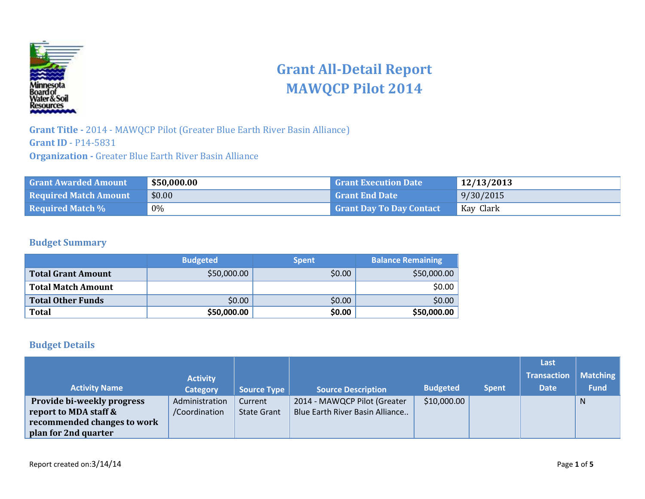

# **Grant All-Detail Report MAWQCP Pilot 2014**

**Grant Title -** 2014 - MAWQCP Pilot (Greater Blue Earth River Basin Alliance) **Grant ID** - P14-5831 **Organization -** Greater Blue Earth River Basin Alliance

| <b>Grant Awarded Amount</b>  | \$50,000.00 | <b>Grant Execution Date</b>     | 12/13/2013 |
|------------------------------|-------------|---------------------------------|------------|
| <b>Required Match Amount</b> | \$0.00      | <b>Grant End Date</b>           | 9/30/2015  |
| <b>Required Match %</b>      | 0%          | <b>Grant Day To Day Contact</b> | Kay Clark  |

#### **Budget Summary**

|                           | <b>Budgeted</b> | <b>Spent</b> | <b>Balance Remaining</b> |
|---------------------------|-----------------|--------------|--------------------------|
| Total Grant Amount        | \$50,000.00     | \$0.00       | \$50,000.00              |
| <b>Total Match Amount</b> |                 |              | \$0.00                   |
| Total Other Funds         | \$0.00          | \$0.00       | \$0.00                   |
| <b>Total</b>              | \$50,000.00     | \$0.00       | \$50,000.00              |

### **Budget Details**

|                                   |                 |                    |                                 |                 |              | Last               |                 |
|-----------------------------------|-----------------|--------------------|---------------------------------|-----------------|--------------|--------------------|-----------------|
|                                   | <b>Activity</b> |                    |                                 |                 |              | <b>Transaction</b> | <b>Matching</b> |
| <b>Activity Name</b>              | <b>Category</b> | <b>Source Type</b> | <b>Source Description</b>       | <b>Budgeted</b> | <b>Spent</b> | <b>Date</b>        | <b>Fund</b>     |
| <b>Provide bi-weekly progress</b> | Administration  | Current            | 2014 - MAWQCP Pilot (Greater    | \$10,000.00     |              |                    | $\mathsf{N}$    |
| report to MDA staff &             | /Coordination   | <b>State Grant</b> | Blue Earth River Basin Alliance |                 |              |                    |                 |
| recommended changes to work       |                 |                    |                                 |                 |              |                    |                 |
| plan for 2nd quarter              |                 |                    |                                 |                 |              |                    |                 |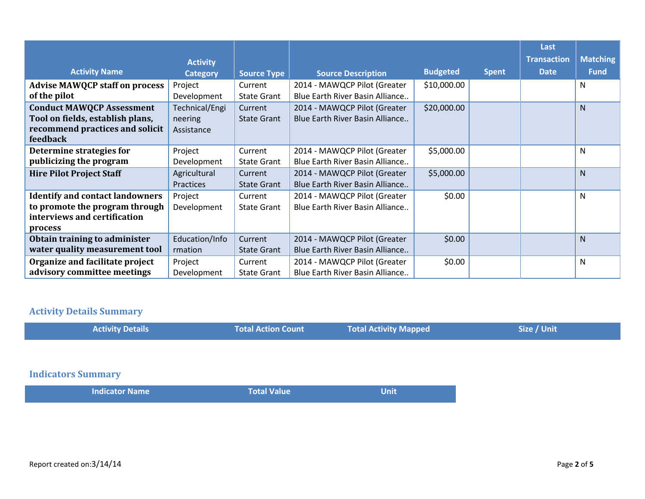|                                        |                  |                    |                                 |                 |              | Last               |                 |
|----------------------------------------|------------------|--------------------|---------------------------------|-----------------|--------------|--------------------|-----------------|
|                                        | <b>Activity</b>  |                    |                                 |                 |              | <b>Transaction</b> | <b>Matching</b> |
| <b>Activity Name</b>                   | <b>Category</b>  | <b>Source Type</b> | <b>Source Description</b>       | <b>Budgeted</b> | <b>Spent</b> | <b>Date</b>        | <b>Fund</b>     |
| <b>Advise MAWQCP staff on process</b>  | Project          | Current            | 2014 - MAWQCP Pilot (Greater    | \$10,000.00     |              |                    | N               |
| of the pilot                           | Development      | <b>State Grant</b> | Blue Earth River Basin Alliance |                 |              |                    |                 |
| <b>Conduct MAWQCP Assessment</b>       | Technical/Engi   | Current            | 2014 - MAWQCP Pilot (Greater    | \$20,000.00     |              |                    | N               |
| Tool on fields, establish plans,       | neering          | <b>State Grant</b> | Blue Earth River Basin Alliance |                 |              |                    |                 |
| recommend practices and solicit        | Assistance       |                    |                                 |                 |              |                    |                 |
| feedback                               |                  |                    |                                 |                 |              |                    |                 |
| Determine strategies for               | Project          | Current            | 2014 - MAWQCP Pilot (Greater    | \$5,000.00      |              |                    | N               |
| publicizing the program                | Development      | <b>State Grant</b> | Blue Earth River Basin Alliance |                 |              |                    |                 |
| <b>Hire Pilot Project Staff</b>        | Agricultural     | Current            | 2014 - MAWQCP Pilot (Greater    | \$5,000.00      |              |                    | $\mathsf{N}$    |
|                                        | <b>Practices</b> | <b>State Grant</b> | Blue Earth River Basin Alliance |                 |              |                    |                 |
| <b>Identify and contact landowners</b> | Project          | Current            | 2014 - MAWQCP Pilot (Greater    | \$0.00          |              |                    | ${\sf N}$       |
| to promote the program through         | Development      | <b>State Grant</b> | Blue Earth River Basin Alliance |                 |              |                    |                 |
| interviews and certification           |                  |                    |                                 |                 |              |                    |                 |
| process                                |                  |                    |                                 |                 |              |                    |                 |
| Obtain training to administer          | Education/Info   | Current            | 2014 - MAWQCP Pilot (Greater    | \$0.00          |              |                    | N               |
| water quality measurement tool         | rmation          | <b>State Grant</b> | Blue Earth River Basin Alliance |                 |              |                    |                 |
| Organize and facilitate project        | Project          | Current            | 2014 - MAWQCP Pilot (Greater    | \$0.00          |              |                    | N               |
| advisory committee meetings            | Development      | <b>State Grant</b> | Blue Earth River Basin Alliance |                 |              |                    |                 |

# **Activity Details Summary**

| <b>Activity Details</b> | Total Action Count | <b>Total Activity Mapped</b> | Size / Unit |
|-------------------------|--------------------|------------------------------|-------------|
|                         |                    |                              |             |

## **Indicators Summary**

| Indicator Name | <b>NTotal Value</b> | Unit |
|----------------|---------------------|------|
|                |                     |      |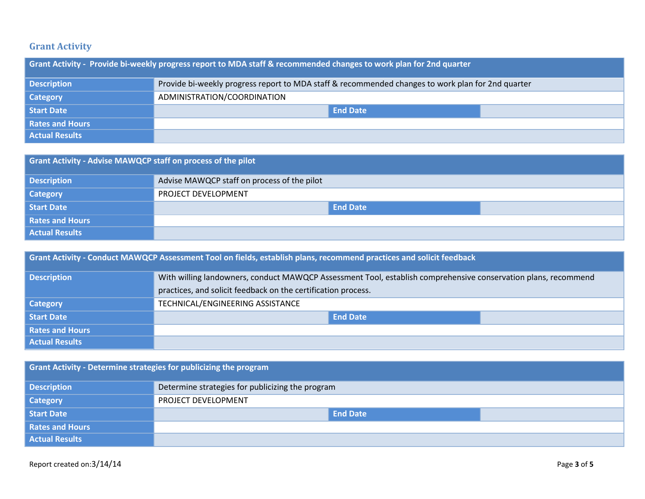## **Grant Activity**

| Grant Activity - Provide bi-weekly progress report to MDA staff & recommended changes to work plan for 2nd quarter |                                                                                                   |  |  |  |
|--------------------------------------------------------------------------------------------------------------------|---------------------------------------------------------------------------------------------------|--|--|--|
| <b>Description</b>                                                                                                 | Provide bi-weekly progress report to MDA staff & recommended changes to work plan for 2nd quarter |  |  |  |
| <b>Category</b>                                                                                                    | ADMINISTRATION/COORDINATION                                                                       |  |  |  |
| <b>Start Date</b>                                                                                                  | <b>End Date</b>                                                                                   |  |  |  |
| <b>Rates and Hours</b>                                                                                             |                                                                                                   |  |  |  |
| <b>Actual Results</b>                                                                                              |                                                                                                   |  |  |  |

| <b>Grant Activity - Advise MAWQCP staff on process of the pilot</b> |                                             |  |  |
|---------------------------------------------------------------------|---------------------------------------------|--|--|
| <b>Description</b>                                                  | Advise MAWQCP staff on process of the pilot |  |  |
| <b>Category</b>                                                     | PROJECT DEVELOPMENT                         |  |  |
| Start Date                                                          | <b>End Date</b>                             |  |  |
| <b>Rates and Hours</b>                                              |                                             |  |  |
| <b>Actual Results</b>                                               |                                             |  |  |

| <b>Grant Activity - Conduct MAWQCP Assessment Tool on fields, establish plans, recommend practices and solicit feedback</b> |                                                                                                                |  |  |
|-----------------------------------------------------------------------------------------------------------------------------|----------------------------------------------------------------------------------------------------------------|--|--|
| Description                                                                                                                 | With willing landowners, conduct MAWQCP Assessment Tool, establish comprehensive conservation plans, recommend |  |  |
|                                                                                                                             | practices, and solicit feedback on the certification process.                                                  |  |  |
| <b>Category</b>                                                                                                             | TECHNICAL/ENGINEERING ASSISTANCE                                                                               |  |  |
| Start Date                                                                                                                  | <b>End Date</b>                                                                                                |  |  |
| <b>Rates and Hours</b>                                                                                                      |                                                                                                                |  |  |
| <b>Actual Results</b>                                                                                                       |                                                                                                                |  |  |

| Grant Activity - Determine strategies for publicizing the program |                                                  |  |  |  |
|-------------------------------------------------------------------|--------------------------------------------------|--|--|--|
| <b>Description</b>                                                | Determine strategies for publicizing the program |  |  |  |
| <b>Category</b>                                                   | PROJECT DEVELOPMENT                              |  |  |  |
| <b>Start Date</b>                                                 | <b>End Date</b>                                  |  |  |  |
| <b>Rates and Hours</b>                                            |                                                  |  |  |  |
| <b>Actual Results</b>                                             |                                                  |  |  |  |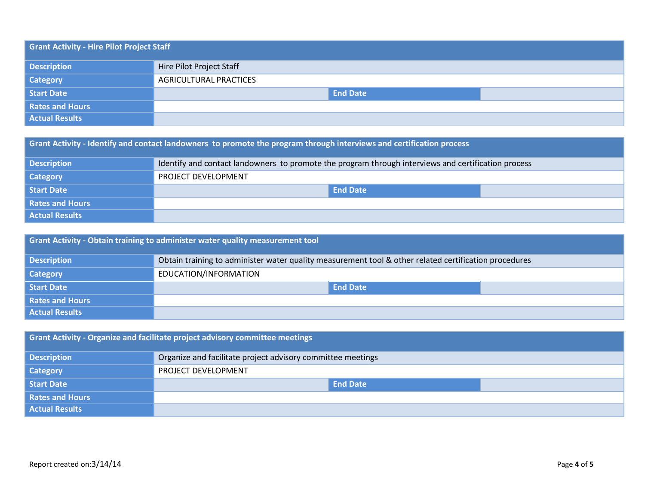| <b>Grant Activity - Hire Pilot Project Staff</b> |                          |  |  |  |  |  |
|--------------------------------------------------|--------------------------|--|--|--|--|--|
| <b>Description</b>                               | Hire Pilot Project Staff |  |  |  |  |  |
| <b>Category</b>                                  | AGRICULTURAL PRACTICES   |  |  |  |  |  |
| <b>Start Date</b>                                | <b>End Date</b>          |  |  |  |  |  |
| <b>Rates and Hours</b>                           |                          |  |  |  |  |  |
| <b>Actual Results</b>                            |                          |  |  |  |  |  |

| Grant Activity - Identify and contact landowners to promote the program through interviews and certification process |                                                                                                     |  |  |
|----------------------------------------------------------------------------------------------------------------------|-----------------------------------------------------------------------------------------------------|--|--|
| <b>Description</b>                                                                                                   | Identify and contact landowners to promote the program through interviews and certification process |  |  |
| <b>Category</b>                                                                                                      | PROJECT DEVELOPMENT                                                                                 |  |  |
| <b>Start Date</b>                                                                                                    | <b>End Date</b>                                                                                     |  |  |
| <b>Rates and Hours</b>                                                                                               |                                                                                                     |  |  |
| <b>Actual Results</b>                                                                                                |                                                                                                     |  |  |

| Grant Activity - Obtain training to administer water quality measurement tool |                                                                                                       |  |  |
|-------------------------------------------------------------------------------|-------------------------------------------------------------------------------------------------------|--|--|
| <b>Description</b>                                                            | Obtain training to administer water quality measurement tool & other related certification procedures |  |  |
| <b>Category</b>                                                               | EDUCATION/INFORMATION                                                                                 |  |  |
| <b>Start Date</b>                                                             | <b>End Date</b>                                                                                       |  |  |
| <b>Rates and Hours</b>                                                        |                                                                                                       |  |  |
| <b>Actual Results</b>                                                         |                                                                                                       |  |  |

| Grant Activity - Organize and facilitate project advisory committee meetings |                                                             |  |  |
|------------------------------------------------------------------------------|-------------------------------------------------------------|--|--|
| <b>Description</b>                                                           | Organize and facilitate project advisory committee meetings |  |  |
| <b>Category</b>                                                              | PROJECT DEVELOPMENT                                         |  |  |
| Start Date                                                                   | <b>End Date</b>                                             |  |  |
| <b>Rates and Hours</b>                                                       |                                                             |  |  |
| <b>Actual Results</b>                                                        |                                                             |  |  |